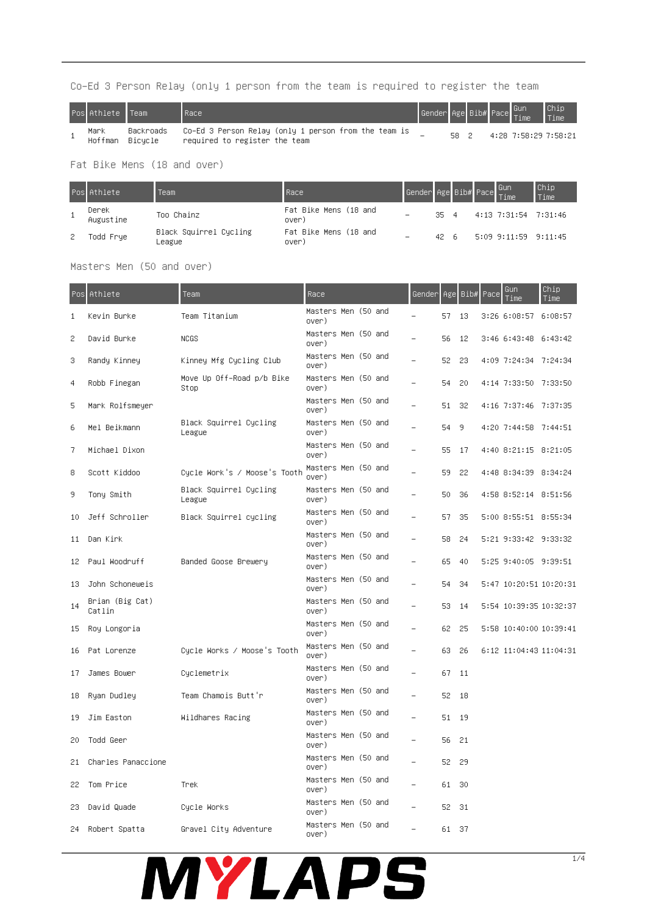### Co-Ed 3 Person Relay (only 1 person from the team is required to register the team

| Pos Athlete Team |                      | Race                                                                                  | Gender Age Bib# Pace Gun |      |  |                      | <b>Chip</b><br>Time |
|------------------|----------------------|---------------------------------------------------------------------------------------|--------------------------|------|--|----------------------|---------------------|
| Mark<br>Hoffman  | Backroads<br>Bicucle | Co–Ed 3 Person Relay (only 1 person from the team is<br>required to register the team |                          | 58 2 |  | 4:28 7:58:29 7:58:21 |                     |

Fat Bike Mens (18 and over)

|   | Pos Athlete        | Team                             | Race                           | Gender Age Bib# Pace Gun<br> Time |              |  |                      | Chip<br>Time |
|---|--------------------|----------------------------------|--------------------------------|-----------------------------------|--------------|--|----------------------|--------------|
|   | Derek<br>Augustine | Too Chainz                       | Fat Bike Mens (18 and<br>over) |                                   | $35 \quad 4$ |  | 4:13 7:31:54 7:31:46 |              |
| 2 | Todd Frye          | Black Squirrel Cycling<br>League | Fat Bike Mens (18 and<br>over) |                                   | 42 G.        |  | 5:09 9:11:59 9:11:45 |              |

Masters Men (50 and over)

|    | Pos Athlete               | Team                              | Race                         |  | Gender |     | Age Bib# | Pace | Gun<br>Time            | Chip<br>Time |
|----|---------------------------|-----------------------------------|------------------------------|--|--------|-----|----------|------|------------------------|--------------|
| 1  | Kevin Burke               | Team Titanium                     | Masters Men (50 and<br>over) |  |        | 57  | 13       |      | 3:26 6:08:57 6:08:57   |              |
| 2  | David Burke               | <b>NCGS</b>                       | Masters Men (50 and<br>over) |  |        | 56  | 12       |      | 3:46 6:43:48 6:43:42   |              |
| 3  | Randy Kinney              | Kinney Mfg Cycling Club           | Masters Men (50 and<br>over) |  |        | 52  | 23       |      | 4:09 7:24:34 7:24:34   |              |
| 4  | Robb Finegan              | Move Up Off–Road p/b Bike<br>Stop | Masters Men (50 and<br>over) |  |        | 54  | 20       |      | 4:14 7:33:50 7:33:50   |              |
| 5  | Mark Rolfsmeyer           |                                   | Masters Men (50 and<br>over) |  |        | 51  | 32       |      | 4:16 7:37:46 7:37:35   |              |
| 6  | Mel Beikmann              | Black Squirrel Cycling<br>League  | Masters Men (50 and<br>over) |  |        | 54  | 9        |      | 4:20 7:44:58 7:44:51   |              |
| 7  | Michael Dixon             |                                   | Masters Men (50 and<br>over) |  |        | 55. | -17      |      | 4:40 8:21:15 8:21:05   |              |
| 8  | Scott Kiddoo              | Cycle Work's / Moose's Tooth      | Masters Men (50 and<br>over) |  |        | 59  | 22       |      | 4:48 8:34:39 8:34:24   |              |
| 9  | Tony Smith                | Black Squirrel Cycling<br>League  | Masters Men (50 and<br>over) |  |        | 50  | 36       |      | 4:58 8:52:14 8:51:56   |              |
| 10 | Jeff Schroller            | Black Squirrel cycling            | Masters Men (50 and<br>over) |  |        | 57  | 35       |      | 5:00 8:55:51 8:55:34   |              |
| 11 | Dan Kirk                  |                                   | Masters Men (50 and<br>over) |  |        | 58  | 24       |      | 5:21 9:33:42 9:33:32   |              |
| 12 | Paul Woodruff             | Banded Goose Brewery              | Masters Men (50 and<br>over) |  |        | 65  | 40       |      | 5:25 9:40:05 9:39:51   |              |
| 13 | John Schoneweis           |                                   | Masters Men (50 and<br>over) |  |        | 54  | 34       |      | 5:47 10:20:51 10:20:31 |              |
| 14 | Brian (Big Cat)<br>Catlin |                                   | Masters Men (50 and<br>over) |  |        | 53  | 14       |      | 5:54 10:39:35 10:32:37 |              |
| 15 | Roy Longoria              |                                   | Masters Men (50 and<br>over) |  |        | 62  | 25       |      | 5:58 10:40:00 10:39:41 |              |
| 16 | Pat Lorenze               | Cycle Works / Moose's Tooth       | Masters Men (50 and<br>over) |  |        | 63  | 26       |      | 6:12 11:04:43 11:04:31 |              |
| 17 | James Bower               | Cyclemetrix                       | Masters Men (50 and<br>over) |  |        | 67  | 11       |      |                        |              |
| 18 | Ryan Dudley               | Team Chamois Butt'r               | Masters Men (50 and<br>over) |  |        | 52  | 18       |      |                        |              |
| 19 | Jim Easton                | Wildhares Racing                  | Masters Men (50 and<br>over) |  |        | 51  | - 19     |      |                        |              |
| 20 | Todd Geer                 |                                   | Masters Men (50 and<br>over) |  |        | 56. | 21       |      |                        |              |
| 21 | Charles Panaccione        |                                   | Masters Men (50 and<br>over) |  |        | 52. | 29       |      |                        |              |
| 22 | Tom Price                 | Trek                              | Masters Men (50 and<br>over) |  |        | 61  | 30       |      |                        |              |
| 23 | David Quade               | Cycle Works                       | Masters Men (50 and<br>over) |  |        | 52. | 31       |      |                        |              |
| 24 | Robert Spatta             | Gravel City Adventure             | Masters Men (50 and<br>over) |  |        | 61. | - 37     |      |                        |              |

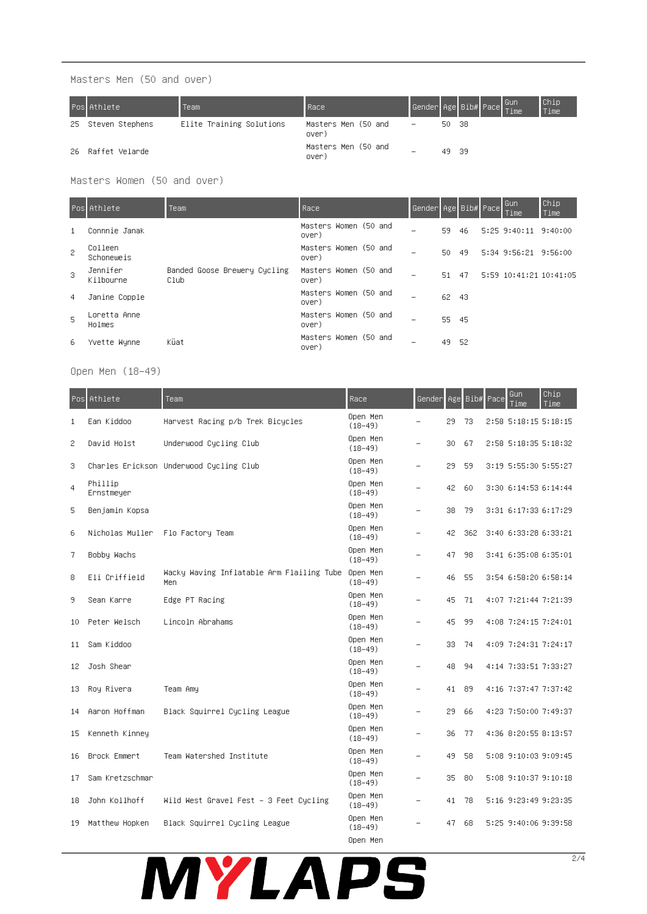Masters Men (50 and over)

| Pos Athlete        | Team                     | Race                         |                          |       | Gender Age Bib# Pace Gun<br> Time | Chip<br>Time |
|--------------------|--------------------------|------------------------------|--------------------------|-------|-----------------------------------|--------------|
| 25 Steven Stephens | Elite Training Solutions | Masters Men (50 and<br>over) | $\overline{\phantom{a}}$ | 50 38 |                                   |              |
| 26 Raffet Velarde  |                          | Masters Men (50 and<br>over) | -                        | 49 39 |                                   |              |

Masters Women (50 and over)

|                | <b>Pos</b> Athlete     | Team                                 | Race                           | Gender Age Bib# Pace |       |     | I Gun<br><b>Time</b>   | Chip<br>Time |
|----------------|------------------------|--------------------------------------|--------------------------------|----------------------|-------|-----|------------------------|--------------|
| 1              | Connnie Janak          |                                      | Masters Women (50 and<br>over) |                      | 59    | -46 | 5:25 9:40:11 9:40:00   |              |
| $\overline{c}$ | Colleen<br>Schoneweis  |                                      | Masters Women (50 and<br>over) |                      | 50 49 |     | 5:34 9:56:21 9:56:00   |              |
| 3              | Jennifer<br>Kilbourne  | Banded Goose Brewery Cycling<br>Club | Masters Women (50 and<br>over) |                      | 51 47 |     | 5:59 10:41:21 10:41:05 |              |
| 4              | Janine Copple          |                                      | Masters Women (50 and<br>over) |                      | 62 43 |     |                        |              |
| 5              | Loretta Anne<br>Holmes |                                      | Masters Women (50 and<br>over) |                      | 55 45 |     |                        |              |
| 6              | Yvette Wynne           | Küat                                 | Masters Women (50 and<br>over) |                      | 49 52 |     |                        |              |

Open Men (18-49)

| Pos            | Athlete               | Team                                             | Race                    | Genderl                  |    |     | Age Bib# Pace | Gun<br>Time          | Chip<br>Time |
|----------------|-----------------------|--------------------------------------------------|-------------------------|--------------------------|----|-----|---------------|----------------------|--------------|
| $\mathbf{1}$   | Ean Kiddoo            | Harvest Racing p/b Trek Bicycles                 | Open Men<br>$(18 - 49)$ |                          | 29 | 73  |               | 2:58 5:18:15 5:18:15 |              |
| 2              | David Holst           | Underwood Cycling Club                           | Open Men<br>$(18-49)$   |                          | 30 | 67  |               | 2:58 5:18:35 5:18:32 |              |
| 3              |                       | Charles Erickson Underwood Cycling Club          | Open Men<br>$(18 - 49)$ | $\overline{\phantom{0}}$ | 29 | 59  |               | 3:19 5:55:30 5:55:27 |              |
| $\overline{4}$ | Phillip<br>Ernstmeyer |                                                  | Open Men<br>$(18 - 49)$ | $\equiv$                 | 42 | 60  |               | 3:30 6:14:53 6:14:44 |              |
| 5              | Benjamin Kopsa        |                                                  | Open Men<br>$(18-49)$   |                          | 38 | 79  |               | 3:31 6:17:33 6:17:29 |              |
| 6              | Nicholas Muller       | Flo Factory Team                                 | Open Men<br>$(18-49)$   |                          | 42 | 362 |               | 3:40 6:33:28 6:33:21 |              |
| 7              | Bobby Wachs           |                                                  | Open Men<br>$(18 - 49)$ |                          | 47 | 98  |               | 3:41 6:35:08 6:35:01 |              |
| 8              | Eli Criffield         | Wacky Waving Inflatable Arm Flailing Tube<br>Men | Open Men<br>$(18 - 49)$ |                          | 46 | 55  |               | 3:54 6:58:20 6:58:14 |              |
| 9              | Sean Karre            | Edge PT Racing                                   | Open Men<br>$(18 - 49)$ |                          | 45 | 71  |               | 4:07 7:21:44 7:21:39 |              |
| 10             | Peter Welsch          | Lincoln Abrahams                                 | Open Men<br>$(18-49)$   | $\overline{\phantom{0}}$ | 45 | 99  |               | 4:08 7:24:15 7:24:01 |              |
| 11             | Sam Kiddoo            |                                                  | Open Men<br>$(18-49)$   |                          | 33 | 74  |               | 4:09 7:24:31 7:24:17 |              |
| 12             | Josh Shear            |                                                  | Open Men<br>$(18 - 49)$ |                          | 48 | 94  |               | 4:14 7:33:51 7:33:27 |              |
| 13             | Roy Rivera            | Team Amy                                         | Open Men<br>$(18-49)$   |                          | 41 | 89  |               | 4:16 7:37:47 7:37:42 |              |
| 14             | Aaron Hoffman         | Black Squirrel Cycling League                    | Open Men<br>$(18-49)$   | $\overline{\phantom{0}}$ | 29 | 66  |               | 4:23 7:50:00 7:49:37 |              |
| 15             | Kenneth Kinney        |                                                  | Open Men<br>$(18-49)$   |                          | 36 | 77  |               | 4:36 8:20:55 8:13:57 |              |
| 16             | Brock Emmert          | Team Watershed Institute                         | Open Men<br>$(18 - 49)$ |                          | 49 | 58  |               | 5:08 9:10:03 9:09:45 |              |
| 17             | Sam Kretzschmar       |                                                  | Open Men<br>$(18 - 49)$ |                          | 35 | 80  |               | 5:08 9:10:37 9:10:18 |              |
| 18             | John Kollhoff         | Wild West Gravel Fest - 3 Feet Cycling           | Open Men<br>$(18-49)$   | $\overline{\phantom{0}}$ | 41 | 78  |               | 5:16 9:23:49 9:23:35 |              |
| 19             | Matthew Hopken        | Black Squirrel Cycling League                    | Open Men<br>$(18-49)$   |                          | 47 | 68  |               | 5:25 9:40:06 9:39:58 |              |
|                |                       |                                                  | Open Men                |                          |    |     |               |                      |              |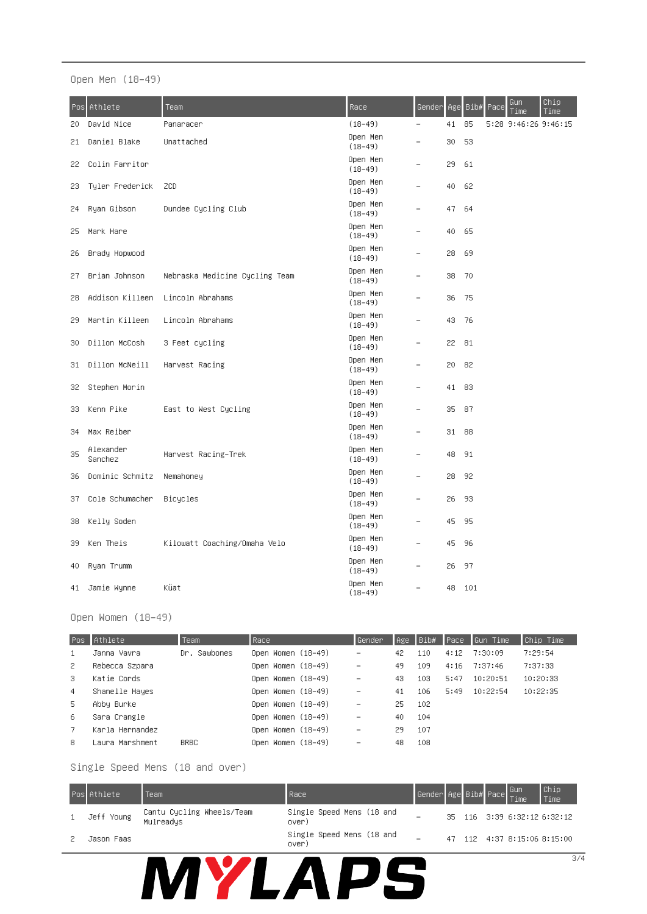Open Men (18-49)

| Pos: | Athlete              | Team                           | Race                    | Gender                   | Age | Bib# | Pace | Gun<br>Time          | Chip<br>Time |
|------|----------------------|--------------------------------|-------------------------|--------------------------|-----|------|------|----------------------|--------------|
| 20   | David Nice           | Panaracer                      | $(18 - 49)$             | $\overline{\phantom{0}}$ | 41  | 85   |      | 5:28 9:46:26 9:46:15 |              |
| 21   | Daniel Blake         | Unattached                     | Open Men<br>$(18-49)$   |                          | 30  | 53   |      |                      |              |
| 22   | Colin Farritor       |                                | Open Men<br>$(18-49)$   |                          | 29  | 61   |      |                      |              |
| 23   | Tyler Frederick      | ZCD                            | Open Men<br>$(18-49)$   |                          | 40  | 62   |      |                      |              |
| 24   | Ryan Gibson          | Dundee Cycling Club            | Open Men<br>$(18 - 49)$ |                          | 47  | 64   |      |                      |              |
| 25   | Mark Hare            |                                | Open Men<br>$(18 - 49)$ |                          | 40  | 65   |      |                      |              |
| 26   | Brady Hopwood        |                                | Open Men<br>$(18-49)$   |                          | 28  | 69   |      |                      |              |
| 27   | Brian Johnson        | Nebraska Medicine Cycling Team | Open Men<br>$(18-49)$   |                          | 38  | 70   |      |                      |              |
| 28   | Addison Killeen      | Lincoln Abrahams               | Open Men<br>$(18 - 49)$ |                          | 36  | 75   |      |                      |              |
| 29   | Martin Killeen       | Lincoln Abrahams               | Open Men<br>$(18-49)$   |                          | 43  | 76   |      |                      |              |
| 30   | Dillon McCosh        | 3 Feet cycling                 | Open Men<br>$(18-49)$   |                          | 22  | 81   |      |                      |              |
| 31   | Dillon McNeill       | Harvest Racing                 | Open Men<br>$(18 - 49)$ |                          | 20  | 82   |      |                      |              |
| 32   | Stephen Morin        |                                | Open Men<br>$(18-49)$   |                          | 41  | 83   |      |                      |              |
| 33   | Kenn Pike            | East to West Cycling           | Open Men<br>$(18-49)$   |                          | 35  | 87   |      |                      |              |
| 34   | Max Reiber           |                                | Open Men<br>$(18-49)$   |                          | 31  | 88   |      |                      |              |
| 35   | Alexander<br>Sanchez | Harvest Racing–Trek            | Open Men<br>$(18-49)$   |                          | 48  | 91   |      |                      |              |
| 36   | Dominic Schmitz      | Nemahoney                      | Open Men<br>$(18-49)$   |                          | 28  | 92   |      |                      |              |
| 37   | Cole Schumacher      | Bicycles                       | Open Men<br>$(18-49)$   |                          | 26  | 93   |      |                      |              |
| 38   | Kelly Soden          |                                | Open Men<br>$(18 - 49)$ |                          | 45  | 95   |      |                      |              |
| 39   | Ken Theis            | Kilowatt Coaching/Omaha Velo   | Open Men<br>$(18-49)$   |                          | 45  | 96   |      |                      |              |
| 40   | Ryan Trumm           |                                | Open Men<br>$(18-49)$   |                          | 26  | 97   |      |                      |              |
| 41   | Jamie Wynne          | Küat                           | Open Men<br>$(18 - 49)$ |                          | 48  | 101  |      |                      |              |

Open Women (18-49)

| Pos. | Athlete         | Team         | Race.              | Gender                   | Age | Bib# | Pace | Gun Time | Chip Time |
|------|-----------------|--------------|--------------------|--------------------------|-----|------|------|----------|-----------|
| 1    | Janna Vavra     | Dr. Sawbones | Open Women (18–49) | $\overline{\phantom{m}}$ | 42  | 110  | 4:12 | 7:30:09  | 7:29:54   |
| -2   | Rebecca Szpara  |              | Open Women (18–49) | $\overline{\phantom{m}}$ | 49  | 109  | 4:16 | 7:37:46  | 7:37:33   |
| 3.   | Katie Cords     |              | Open Women (18–49) | $\overline{\phantom{m}}$ | 43  | 103  | 5:47 | 10:20:51 | 10:20:33  |
| 4    | Shanelle Hayes  |              | Open Women (18–49) | $\overline{\phantom{m}}$ | 41  | 106  | 5:49 | 10:22:54 | 10:22:35  |
| 5.   | Abby Burke      |              | Open Women (18–49) | $\overline{\phantom{m}}$ | 25  | 102  |      |          |           |
| -6   | Sara Crangle    |              | Open Women (18–49) | $\overline{\phantom{m}}$ | 40  | 104  |      |          |           |
| -7   | Karla Hernandez |              | Open Women (18–49) | $\overline{\phantom{m}}$ | 29  | 107  |      |          |           |
| 8    | Laura Marshment | <b>BRBC</b>  | Open Women (18–49) | $\overline{\phantom{m}}$ | 48  | 108  |      |          |           |

Single Speed Mens (18 and over)

| <b>Pos</b> Athlete | Team                                   | Race                               | Gender Age Bib# Pace Gun |    |  | Time | $\begin{array}{c} \texttt{Chip} \\ \texttt{Time} \end{array}$ |
|--------------------|----------------------------------------|------------------------------------|--------------------------|----|--|------|---------------------------------------------------------------|
| Jeff Young         | Cantu Cycling Wheels/Team<br>Mulreadys | Single Speed Mens (18 and<br>over) |                          |    |  |      | 35 116 3:39 6:32:12 6:32:12                                   |
| Jason Faas         |                                        | Single Speed Mens (18 and<br>over) |                          | 47 |  |      | 112 4:37 8:15:06 8:15:00                                      |
|                    |                                        |                                    |                          |    |  |      | 3/4                                                           |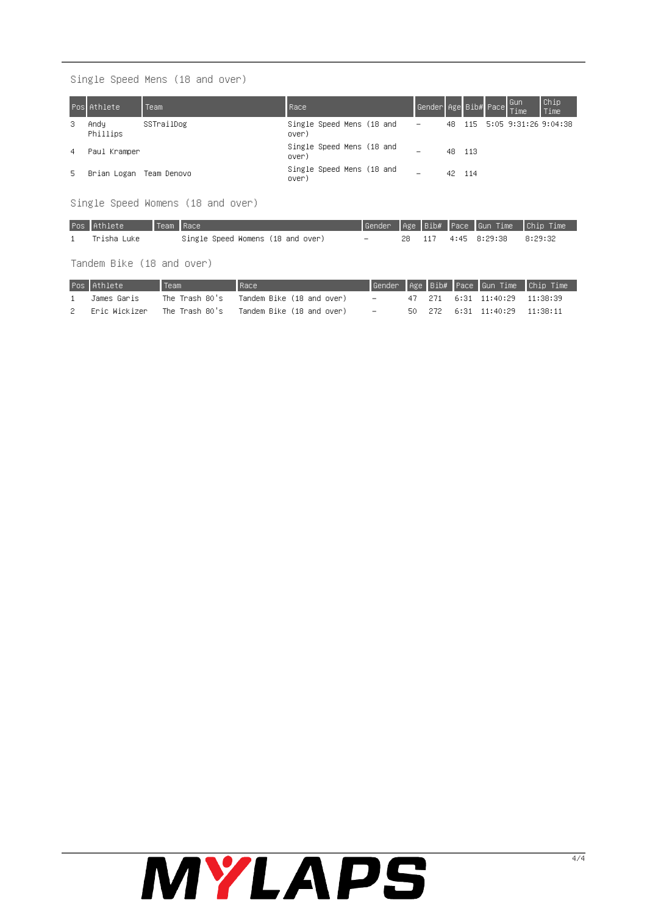Single Speed Mens (18 and over)

|    | <b>Pos</b> Athlete | <b>Team</b> | Race                               | Gender Age Bib# Pace Gun<br> Time |     |       |  | Chip<br>Time                |
|----|--------------------|-------------|------------------------------------|-----------------------------------|-----|-------|--|-----------------------------|
| з  | Andu<br>Phillips   | SSTrailDog  | Single Speed Mens (18 and<br>over) | $\overline{\phantom{a}}$          |     |       |  | 48 115 5:05 9:31:26 9:04:38 |
| 4  | Paul Kramper       |             | Single Speed Mens (18 and<br>over) | -                                 | 48. | - 113 |  |                             |
| 5. | Brian Logan        | Team Denovo | Single Speed Mens (18 and<br>over) | $\overline{\phantom{0}}$          | 42. | - 114 |  |                             |

Single Speed Womens (18 and over)

| Pos Athlete | Team Race |                                   |        |        | Gender Age Bib# Pace Gun Time Chip Time |         |
|-------------|-----------|-----------------------------------|--------|--------|-----------------------------------------|---------|
| Trisha Luke |           | Single Speed Womens (18 and over) | $\sim$ | 28 117 | 4:45 8:29:38                            | 8:29:32 |

Tandem Bike (18 and over)

| Pos Athlete   | Team           | Race                      |        |        |  |                        | Gender   Age   Bib#   Pace   Gun Time   Chip Time |
|---------------|----------------|---------------------------|--------|--------|--|------------------------|---------------------------------------------------|
| James Garis   | The Trash 80's | Tandem Bike (18 and over) | $\sim$ | 47 271 |  | 6:31 11:40:29 11:38:39 |                                                   |
| Eric Wickizer | The Trash 80's | Tandem Bike (18 and over) | $\sim$ | 50 272 |  | 6:31 11:40:29 11:38:11 |                                                   |

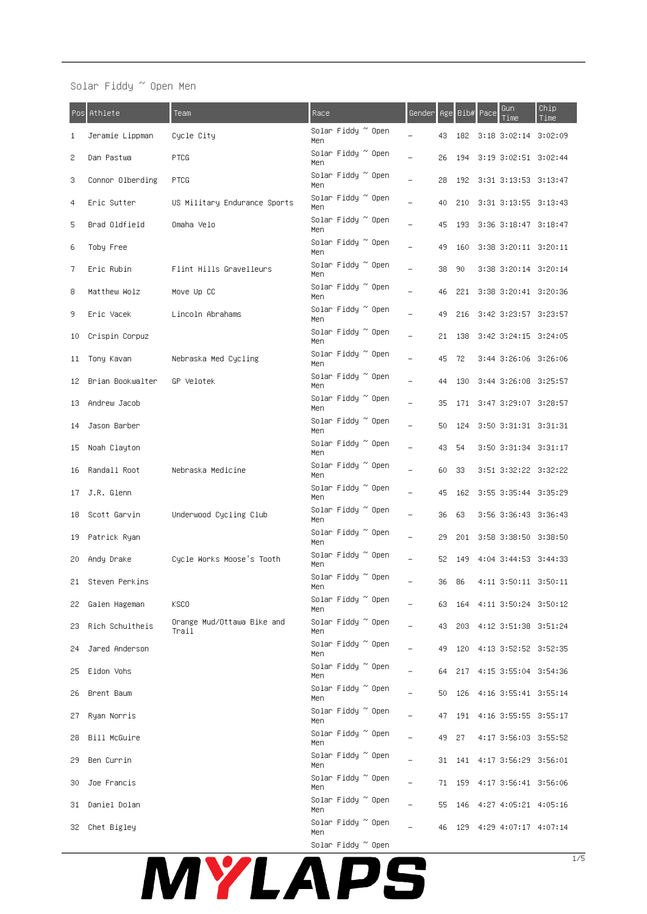# MYLAPS

|     | Pos Athlete       | Team                                | Race                       | Gender I |        |        | Age Bib# Pace | Gun<br>Time                 | Chip<br>Time |
|-----|-------------------|-------------------------------------|----------------------------|----------|--------|--------|---------------|-----------------------------|--------------|
| 1   | Jeramie Lippman   | Cycle City                          | Solar Fiddy ~ Open<br>Men  |          | 43     | 182    |               | 3:18 3:02:14 3:02:09        |              |
| 2   | Dan Pastwa        | <b>PTCG</b>                         | Solar Fiddy ~ Open<br>Men  |          | 26     | 194    |               | 3:19 3:02:51 3:02:44        |              |
| 3   | Connor Olberding  | <b>PTCG</b>                         | Solar Fiddy ~ Open<br>Men  |          | 28     | 192    |               | 3:31 3:13:53 3:13:47        |              |
| 4   | Eric Sutter       | US Military Endurance Sports        | Solar Fiddy ~ Open<br>Men  |          | 40     | -210   |               | 3:31 3:13:55 3:13:43        |              |
| 5   | Brad Oldfield     | Omaha Velo                          | Solar Fiddy ~ Open<br>Men  |          | 45     | 193    |               | 3:36 3:18:47 3:18:47        |              |
| 6   | Toby Free         |                                     | Solar Fiddy ~ Open<br>Men  |          | 49.    | 160    |               | 3:38 3:20:11 3:20:11        |              |
| 7   | Eric Rubin        | Flint Hills Gravelleurs             | Solar Fiddy ~ Open<br>Men  |          | 38.    | 90     |               | 3:38 3:20:14 3:20:14        |              |
| 8   | Matthew Wolz      | Move Up CC                          | Solar Fiddy ~ Open<br>Men  |          | 46     |        |               | 221 3:38 3:20:41 3:20:36    |              |
| 9   | Eric Vacek        | Lincoln Abrahams                    | Solar Fiddy ~ Open<br>Men  |          | 49     | 216    |               | 3:42 3:23:57 3:23:57        |              |
| 10  | Crispin Corpuz    |                                     | Solar Fiddy ~ Open<br>Men  |          | 21     | 138    |               | 3:42 3:24:15 3:24:05        |              |
| 11  | Tony Kavan        | Nebraska Med Cycling                | Solar Fiddy ~ Open<br>Men. |          | 45     | - 72   |               | 3:44 3:26:06 3:26:06        |              |
| 12  | Brian Bookwalter  | GP Velotek                          | Solar Fiddy ~ Open<br>Men  |          | 44     | 130    |               | 3:44 3:26:08 3:25:57        |              |
| 13  | Andrew Jacob      |                                     | Solar Fiddy ~ Open<br>Men  |          | 35     | 171    |               | 3:47 3:29:07 3:28:57        |              |
| 14  | Jason Barber      |                                     | Solar Fiddy ~ Open<br>Men  |          | 50     | 124    |               | 3:50 3:31:31 3:31:31        |              |
| 15  | Noah Clayton      |                                     | Solar Fiddy ~ Open<br>Men  |          | 43     | - 54   |               | 3:50 3:31:34 3:31:17        |              |
| 16  | Randall Root      | Nebraska Medicine                   | Solar Fiddy ~ Open<br>Men  |          | 60     | - 33   |               | 3:51 3:32:22 3:32:22        |              |
| 17  | J.R. Glenn        |                                     | Solar Fiddy ~ Open<br>Men  |          | 45     | 162    |               | 3:55 3:35:44 3:35:29        |              |
| 18  | Scott Garvin      | Underwood Cycling Club              | Solar Fiddy ~ Open<br>Men  |          | 36 63  |        |               | 3:56 3:36:43 3:36:43        |              |
| 19. | Patrick Ryan      |                                     | Solar Fiddy ~ Open<br>Men  |          | 29.    |        |               | 201 3:58 3:38:50 3:38:50    |              |
| 20. | Andy Drake        | Cycle Works Moose's Tooth           | Solar Fiddy ~ Open<br>Men  |          | 52     | 149    |               | 4:04 3:44:53 3:44:33        |              |
|     | 21 Steven Perkins |                                     | Solar Fiddy ~ Open<br>Men  |          | 36 86  |        |               | 4:11 3:50:11 3:50:11        |              |
| 22. | Galen Hageman     | <b>KSCO</b>                         | Solar Fiddy ~ Open<br>Men  |          | 63.    | 164    |               | 4:11 3:50:24 3:50:12        |              |
| 23  | Rich Schultheis   | Orange Mud/Ottawa Bike and<br>Trail | Solar Fiddy ~ Open<br>Men  |          | 43.    | 203    |               | 4:12 3:51:38 3:51:24        |              |
| 24  | Jared Anderson    |                                     | Solar Fiddy ~ Open<br>Men  |          | 49.    | 120    |               | 4:13 3:52:52 3:52:35        |              |
| 25  | Eldon Vohs        |                                     | Solar Fiddy ~ Open<br>Men  |          | 64 217 |        |               | 4:15 3:55:04 3:54:36        |              |
| 26  | Brent Baum        |                                     | Solar Fiddy ~ Open<br>Men  |          |        | 50 126 |               | 4:16 3:55:41 3:55:14        |              |
| 27. | Ryan Norris       |                                     | Solar Fiddy ~ Open<br>Men  |          |        |        |               | 47 191 4:16 3:55:55 3:55:17 |              |
| 28  | Bill McGuire      |                                     | Solar Fiddy ~ Open<br>Men. |          | 49.    | 27     |               | 4:17 3:56:03 3:55:52        |              |
| 29  | Ben Currin        |                                     | Solar Fiddy ~ Open<br>Men  |          | 31     | 141    |               | 4:17 3:56:29 3:56:01        |              |
| 30  | Joe Francis       |                                     | Solar Fiddy ~ Open<br>Men  |          |        | 71 159 |               | 4:17 3:56:41 3:56:06        |              |
| 31  | Daniel Dolan      |                                     | Solar Fiddy ~ Open<br>Men  |          |        | 55 146 |               | 4:27 4:05:21 4:05:16        |              |
|     | 32 Chet Bigley    |                                     | Solar Fiddy ~ Open<br>Men  |          |        |        |               | 46 129 4:29 4:07:17 4:07:14 |              |

Solar Fiddy ~ Open Men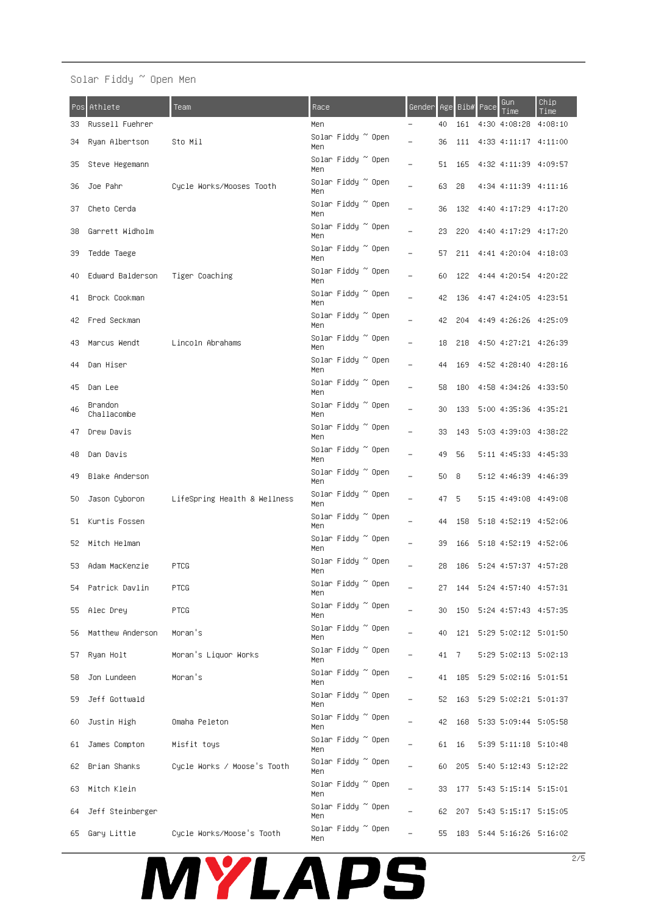# Solar Fiddy ~ Open Men

| Pos: | Athlete                | Team                         | Race                      | <u>Gender</u>            | Age   |     | Bib# Pace | Gun<br>Time                 | Chip<br>Time                |
|------|------------------------|------------------------------|---------------------------|--------------------------|-------|-----|-----------|-----------------------------|-----------------------------|
| 33   | Russell Fuehrer        |                              | Men                       |                          | 40    | 161 |           | 4:30 4:08:28                | 4:08:10                     |
| 34   | Ryan Albertson         | Sto Mil                      | Solar Fiddy ~ Open<br>Men |                          | 36    | 111 |           | 4:33 4:11:17 4:11:00        |                             |
| 35   | Steve Hegemann         |                              | Solar Fiddy ~ Open<br>Men | $\overline{\phantom{0}}$ | 51    | 165 |           | 4:32 4:11:39 4:09:57        |                             |
| 36   | Joe Pahr               | Cycle Works/Mooses Tooth     | Solar Fiddy ~ Open<br>Men | L.                       | 63    | 28  |           | 4:34 4:11:39 4:11:16        |                             |
| 37   | Cheto Cerda            |                              | Solar Fiddy ~ Open<br>Men | $\overline{\phantom{0}}$ | 36    | 132 |           | 4:40 4:17:29 4:17:20        |                             |
| 38   | Garrett Widholm        |                              | Solar Fiddy ~ Open<br>Men | $\overline{\phantom{0}}$ | 23.   | 220 |           | 4:40 4:17:29 4:17:20        |                             |
| 39   | Tedde Taege            |                              | Solar Fiddy ~ Open<br>Men |                          | 57.   | 211 |           | 4:41 4:20:04 4:18:03        |                             |
| 40   | Edward Balderson       | Tiger Coaching               | Solar Fiddy ~ Open<br>Men | $\overline{\phantom{0}}$ | 60    | 122 |           | 4:44 4:20:54 4:20:22        |                             |
| 41   | Brock Cookman          |                              | Solar Fiddy ~ Open<br>Men |                          | 42.   | 136 |           | 4:47 4:24:05 4:23:51        |                             |
| 42.  | Fred Seckman           |                              | Solar Fiddy ~ Open<br>Men |                          | 42.   | 204 |           | 4:49 4:26:26 4:25:09        |                             |
| 43.  | Marcus Wendt           | Lincoln Abrahams             | Solar Fiddy ~ Open<br>Men | L.                       | 18    | 218 |           | 4:50 4:27:21 4:26:39        |                             |
| 44   | Dan Hiser              |                              | Solar Fiddy ~ Open<br>Men | L.                       | 44    | 169 |           | 4:52 4:28:40 4:28:16        |                             |
| 45   | Dan Lee                |                              | Solar Fiddy ~ Open<br>Men |                          | 58    | 180 |           | 4:58 4:34:26 4:33:50        |                             |
| 46   | Brandon<br>Challacombe |                              | Solar Fiddy ~ Open<br>Men |                          | 30    | 133 |           | 5:00 4:35:36 4:35:21        |                             |
| 47   | Drew Davis             |                              | Solar Fiddy ~ Open<br>Men |                          | 33    | 143 |           | 5:03 4:39:03 4:38:22        |                             |
| 48   | Dan Davis              |                              | Solar Fiddy ~ Open<br>Men |                          | 49    | 56  |           | 5:11 4:45:33 4:45:33        |                             |
| 49.  | Blake Anderson         |                              | Solar Fiddy ~ Open<br>Men |                          | 50    | -8  |           | 5:12 4:46:39 4:46:39        |                             |
| 50   | Jason Cyboron          | LifeSpring Health & Wellness | Solar Fiddy ~ Open<br>Men |                          | 47    | 5.  |           | 5:15 4:49:08 4:49:08        |                             |
| 51.  | Kurtis Fossen          |                              | Solar Fiddy ~ Open<br>Men | $\overline{\phantom{0}}$ | 44    | 158 |           | 5:18 4:52:19 4:52:06        |                             |
| 52.  | Mitch Helman           |                              | Solar Fiddy ~ Open<br>Men |                          | 39    | 166 |           | 5:18 4:52:19 4:52:06        |                             |
| 53.  | Adam MacKenzie         | <b>PTCG</b>                  | Solar Fiddy ~ Open<br>Men |                          | 28    |     |           | 186 5:24 4:57:37 4:57:28    |                             |
|      | 54 Patrick Davlin      | <b>PTCG</b>                  | Solar Fiddy ~ Open<br>Men |                          | 27    | 144 |           |                             | 5:24 4:57:40 4:57:31        |
| 55.  | Alec Drey              | <b>PTCG</b>                  | Solar Fiddy ~ Open<br>Men |                          | 30.   |     |           | 150 5:24 4:57:43 4:57:35    |                             |
| 56.  | Matthew Anderson       | Moran's                      | Solar Fiddy ~ Open<br>Men |                          | 40.   |     |           |                             | 121 5:29 5:02:12 5:01:50    |
| 57.  | Ryan Holt              | Moran's Liquor Works         | Solar Fiddy ~ Open<br>Men |                          | 41 7  |     |           |                             | 5:29 5:02:13 5:02:13        |
| 58   | Jon Lundeen            | Moran's                      | Solar Fiddy ~ Open<br>Men |                          |       |     |           |                             | 41 185 5:29 5:02:16 5:01:51 |
| 59   | Jeff Gottwald          |                              | Solar Fiddy ~ Open<br>Men |                          |       |     |           |                             | 52 163 5:29 5:02:21 5:01:37 |
| 60.  | Justin High            | Omaha Peleton                | Solar Fiddy ~ Open<br>Men |                          |       |     |           | 42 168 5:33 5:09:44 5:05:58 |                             |
| 61   | James Compton          | Misfit toys                  | Solar Fiddy ~ Open<br>Men |                          | 61 16 |     |           | 5:39 5:11:18 5:10:48        |                             |
| 62.  | Brian Shanks           | Cycle Works / Moose's Tooth  | Solar Fiddy ~ Open<br>Men |                          | 60.   |     |           | 205 5:40 5:12:43 5:12:22    |                             |
| 63.  | Mitch Klein            |                              | Solar Fiddy ~ Open<br>Men |                          | 33.   |     |           |                             | 177 5:43 5:15:14 5:15:01    |
| 64   | Jeff Steinberger       |                              | Solar Fiddy ~ Open<br>Men |                          |       |     |           |                             | 62 207 5:43 5:15:17 5:15:05 |
|      | 65 Gary Little         | Cycle Works/Moose's Tooth    | Solar Fiddy ~ Open<br>Men | $\equiv$                 |       |     |           |                             | 55 183 5:44 5:16:26 5:16:02 |

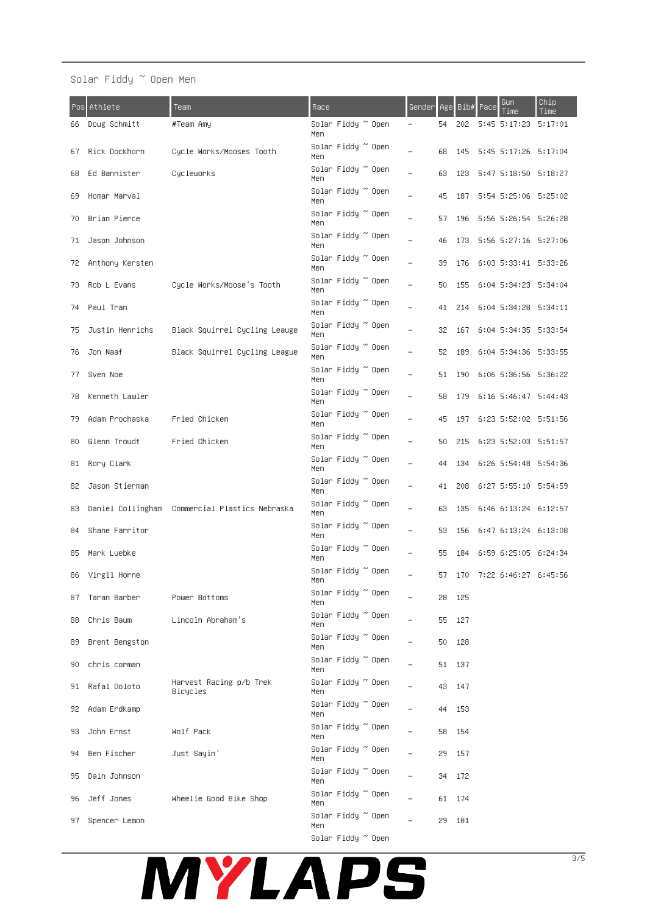# Solar Fiddy ~ Open Men

| Pos: | Athlete           | Team                                           | Race                      | Gender                   |     | Age Bib# | Pace | Gun<br>Time                 | Chip<br>Time |
|------|-------------------|------------------------------------------------|---------------------------|--------------------------|-----|----------|------|-----------------------------|--------------|
| 66   | Doug Schmitt      | #Team Amy                                      | Solar Fiddy ~ Open<br>Men |                          | 54  | 202      |      | 5:45 5:17:23 5:17:01        |              |
| 67   | Rick Dockhorn     | Cycle Works/Mooses Tooth                       | Solar Fiddy ~ Open<br>Men | ÷,                       | 68  | 145      |      | 5:45 5:17:26 5:17:04        |              |
| 68   | Ed Bannister      | Cycleworks                                     | Solar Fiddy ~ Open<br>Men | $\overline{\phantom{0}}$ | 63. | 123      |      | 5:47 5:18:50 5:18:27        |              |
| 69.  | Homar Marval      |                                                | Solar Fiddy ~ Open<br>Men |                          | 45  | 187      |      | 5:54 5:25:06 5:25:02        |              |
| 70   | Brian Pierce      |                                                | Solar Fiddy ~ Open<br>Men |                          | 57. |          |      | 196 5:56 5:26:54 5:26:28    |              |
| 71   | Jason Johnson     |                                                | Solar Fiddy ~ Open<br>Men |                          | 46  |          |      | 173 5:56 5:27:16 5:27:06    |              |
| 72   | Anthony Kersten   |                                                | Solar Fiddy ~ Open<br>Men |                          | 39. |          |      | 176 6:03 5:33:41 5:33:26    |              |
| 73   | Rob L Evans       | Cycle Works/Moose's Tooth                      | Solar Fiddy ~ Open<br>Men |                          | 50  | 155      |      | 6:04 5:34:23 5:34:04        |              |
| 74   | Paul Tran         |                                                | Solar Fiddy ~ Open<br>Men | $\overline{\phantom{0}}$ | 41  | 214      |      | 6:04 5:34:28 5:34:11        |              |
| 75   | Justin Henrichs   | Black Squirrel Cycling Leauge                  | Solar Fiddy ~ Open<br>Men | $\qquad \qquad -$        | 32. | 167      |      | 6:04 5:34:35 5:33:54        |              |
| 76   | Jon Naaf          | Black Squirrel Cycling League                  | Solar Fiddy ~ Open<br>Men |                          | 52  | 189      |      | 6:04 5:34:36 5:33:55        |              |
| 77   | Sven Noe          |                                                | Solar Fiddy ~ Open<br>Men |                          |     |          |      | 51 190 6:06 5:36:56 5:36:22 |              |
| 78   | Kenneth Lawler    |                                                | Solar Fiddy ~ Open<br>Men |                          | 58. |          |      | 179 6:16 5:46:47 5:44:43    |              |
| 79   | Adam Prochaska    | Fried Chicken                                  | Solar Fiddy ~ Open<br>Men |                          | 45  |          |      | 197 6:23 5:52:02 5:51:56    |              |
| 80   | Glenn Troudt      | Fried Chicken                                  | Solar Fiddy ~ Open<br>Men | $\overline{\phantom{0}}$ | 50  | 215      |      | 6:23 5:52:03 5:51:57        |              |
| 81   | Rory Clark        |                                                | Solar Fiddy ~ Open<br>Men |                          | 44  | 134      |      | 6:26 5:54:48 5:54:36        |              |
| 82   | Jason Stierman    |                                                | Solar Fiddy ~ Open<br>Men | $\overline{\phantom{0}}$ | 41  | 208      |      | 6:27 5:55:10 5:54:59        |              |
| 83   |                   | Daniel Collingham Commercial Plastics Nebraska | Solar Fiddy ~ Open<br>Men |                          | 63. | 135      |      | 6:46 6:13:24 6:12:57        |              |
| 84   | Shane Farritor    |                                                | Solar Fiddy ~ Open<br>Men |                          | 53. | 156      |      | 6:47 6:13:24 6:13:08        |              |
| 85   | Mark Luebke       |                                                | Solar Fiddy ~ Open<br>Men |                          | 55. |          |      | 184 6:59 6:25:05 6:24:34    |              |
| 86   | Virgil Horne      |                                                | Solar Fiddy ~ Open<br>men |                          | 57. |          |      | 170 7:22 6:46:27 6:45:56    |              |
|      | 87 Taran Barber   | Power Bottoms                                  | Solar Fiddy ~ Open<br>Men |                          |     | 28 125   |      |                             |              |
|      | 88 Chris Baum     | Lincoln Abraham's                              | Solar Fiddy ~ Open<br>Men |                          |     | 55 127   |      |                             |              |
|      | 89 Brent Bengston |                                                | Solar Fiddy ~ Open<br>Men |                          |     | 50 128   |      |                             |              |
|      | 90 chris corman   |                                                | Solar Fiddy ~ Open<br>Men |                          |     | 51 137   |      |                             |              |
|      | 91 Rafal Doloto   | Harvest Racing p/b Trek<br>Bicycles            | Solar Fiddy ~ Open<br>Men |                          |     | 43 147   |      |                             |              |
|      | 92 Adam Erdkamp   |                                                | Solar Fiddy ~ Open<br>Men |                          |     | 44 153   |      |                             |              |
|      | 93 John Ernst     | Wolf Pack                                      | Solar Fiddy ~ Open<br>Men |                          |     | 58 154   |      |                             |              |
| 94.  | Ben Fischer       | Just Sayin'                                    | Solar Fiddy ~ Open<br>Men | $\overline{\phantom{0}}$ |     | 29 157   |      |                             |              |
| 95.  | Dain Johnson      |                                                | Solar Fiddy ~ Open<br>Men | $\overline{\phantom{0}}$ |     | 34 172   |      |                             |              |
|      | 96 Jeff Jones     | Wheelie Good Bike Shop                         | Solar Fiddy ~ Open<br>Men |                          |     | 61 174   |      |                             |              |
|      | 97 Spencer Lemon  |                                                | Solar Fiddy ~ Open<br>Men |                          |     | 29 181   |      |                             |              |



Solar Fiddy  $^{\thicksim}$  Open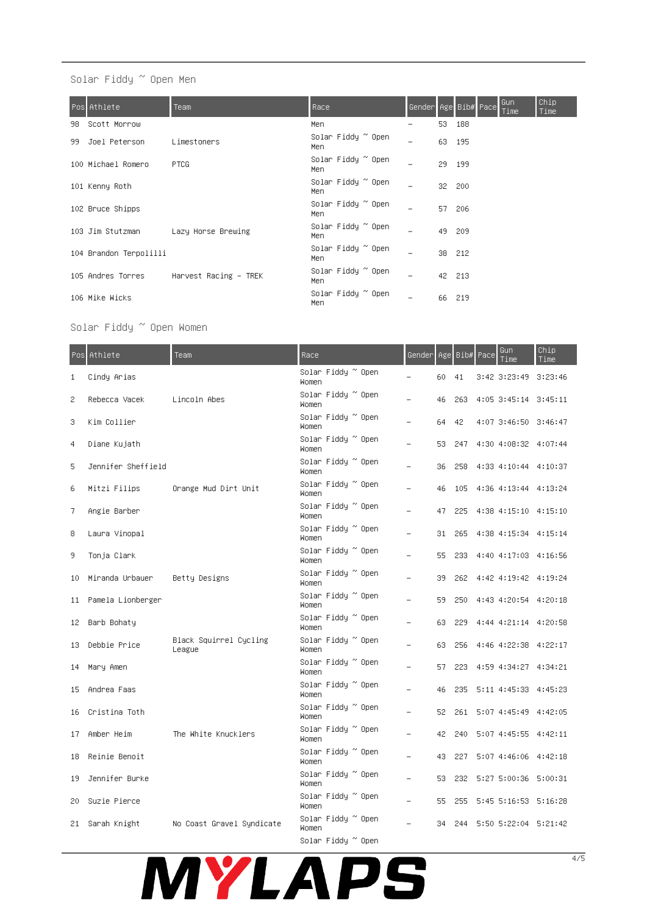# Solar Fiddy ~ Open Men

|     | Pos Athlete            | Team                                    | Race                      |   |        | Gender Age Bib# Pace | Gun<br>Time | Chip<br>Time |
|-----|------------------------|-----------------------------------------|---------------------------|---|--------|----------------------|-------------|--------------|
| 98. | Scott Morrow           |                                         | Men.                      | - | 53 188 |                      |             |              |
| 99. | Joel Peterson          | Limestoners                             | Solar Fiddy ~ Open<br>Men | - | 63 195 |                      |             |              |
|     | 100 Michael Romero     | <b>PTCG</b>                             | Solar Fiddy ~ Open<br>Men |   | 29.    | - 199                |             |              |
|     | 101 Kenny Roth         |                                         | Solar Fiddy ~ Open<br>Men |   | 32 200 |                      |             |              |
|     | 102 Bruce Shipps       |                                         | Solar Fiddy ~ Open<br>Men |   | 57 206 |                      |             |              |
|     | 103 Jim Stutzman       | Lazy Horse Brewing                      | Solar Fiddy ~ Open<br>Men |   | 49 209 |                      |             |              |
|     | 104 Brandon Terpolilli |                                         | Solar Fiddy ~ Open<br>Men |   | 38 212 |                      |             |              |
|     |                        | 105 Andres Torres Harvest Racing – TREK | Solar Fiddy ~ Open<br>Men |   | 42 213 |                      |             |              |
|     | 106 Mike Wicks         |                                         | Solar Fiddy ~ Open<br>Men |   | 66 219 |                      |             |              |

## Solar Fiddy ~ Open Women

| Pos  | Athlete            | Team                             | Race                               | Genderl |     |     | Age Bib# Pace | Gun<br>Time            | Chip<br>Time |
|------|--------------------|----------------------------------|------------------------------------|---------|-----|-----|---------------|------------------------|--------------|
| 1    | Cindy Arias        |                                  | Solar Fiddy ~ Open<br><b>Women</b> |         | 60  | 41  |               | 3:42 3:23:49 3:23:46   |              |
| 2    | Rebecca Vacek      | Lincoln Abes                     | Solar Fiddy ~ Open<br>Women        |         | 46  | 263 |               | 4:05 3:45:14 3:45:11   |              |
| 3    | Kim Collier        |                                  | Solar Fiddy ~ Open<br>Women        |         | 64  | 42  |               | 4:07 3:46:50 3:46:47   |              |
| 4    | Diane Kujath       |                                  | Solar Fiddy ~ Open<br>Women        |         | 53  | 247 |               | 4:30 4:08:32 4:07:44   |              |
| 5    | Jennifer Sheffield |                                  | Solar Fiddy ~ Open<br>Women        |         | 36  | 258 |               | 4:33 4:10:44 4:10:37   |              |
| 6    | Mitzi Filips       | Orange Mud Dirt Unit             | Solar Fiddy ~ Open<br>Women        |         | 46  | 105 |               | 4:36 4:13:44 4:13:24   |              |
| 7    | Angie Barber       |                                  | Solar Fiddy ~ Open<br>Women        |         | 47  | 225 |               | 4:38 4:15:10 4:15:10   |              |
| 8    | Laura Vinopal      |                                  | Solar Fiddy ~ Open<br>Women        |         | 31  | 265 |               | 4:38 4:15:34 4:15:14   |              |
| 9    | Tonja Clark        |                                  | Solar Fiddy ~ Open<br><b>Women</b> |         | 55. | 233 |               | 4:40 4:17:03 4:16:56   |              |
| 10   | Miranda Urbauer    | Betty Designs                    | Solar Fiddy ~ Open<br><b>Women</b> |         | 39. | 262 |               | 4:42 4:19:42 4:19:24   |              |
| 11   | Pamela Lionberger  |                                  | Solar Fiddy ~ Open<br>Women        |         | 59  | 250 |               | 4:43 4:20:54 4:20:18   |              |
| 12.  | Barb Bohaty        |                                  | Solar Fiddy ~ Open<br>Women        |         | 63. | 229 |               | 4:44 4:21:14 4:20:58   |              |
| 13   | Debbie Price       | Black Squirrel Cycling<br>League | Solar Fiddy ~ Open<br>Women        |         | 63  | 256 |               | 4:46 4:22:38 4:22:17   |              |
| 14   | Mary Amen          |                                  | Solar Fiddy ~ Open<br>Women        |         | 57  | 223 |               | 4:59 4:34:27 4:34:21   |              |
| 15   | Andrea Faas        |                                  | Solar Fiddy ~ Open<br>Women        |         | 46  | 235 |               | 5:11 4:45:33 4:45:23   |              |
| 16   | Cristina Toth      |                                  | Solar Fiddy ~ Open<br>Women        |         | 52  | 261 |               | 5:07 4:45:49 4:42:05   |              |
| 17   | Amber Heim         | The White Knucklers              | Solar Fiddy ~ Open<br>Women        |         | 42  | 240 |               | 5:07 4:45:55 4:42:11   |              |
| 18   | Reinie Benoit      |                                  | Solar Fiddy ~ Open<br>Women        |         | 43  | 227 |               | $5:07$ 4:46:06 4:42:18 |              |
| 19   | Jennifer Burke     |                                  | Solar Fiddy ~ Open<br>Women        |         | 53. | 232 |               | 5:27 5:00:36 5:00:31   |              |
| 20   | Suzie Pierce       |                                  | Solar Fiddy ~ Open<br>Women        |         | 55  | 255 |               | 5:45 5:16:53 5:16:28   |              |
| 21 - | Sarah Knight       | No Coast Gravel Syndicate        | Solar Fiddy ~ Open<br>Women        |         | 34  | 244 |               | 5:50 5:22:04 5:21:42   |              |
|      |                    |                                  | Solar Fiddy ~ Open                 |         |     |     |               |                        |              |

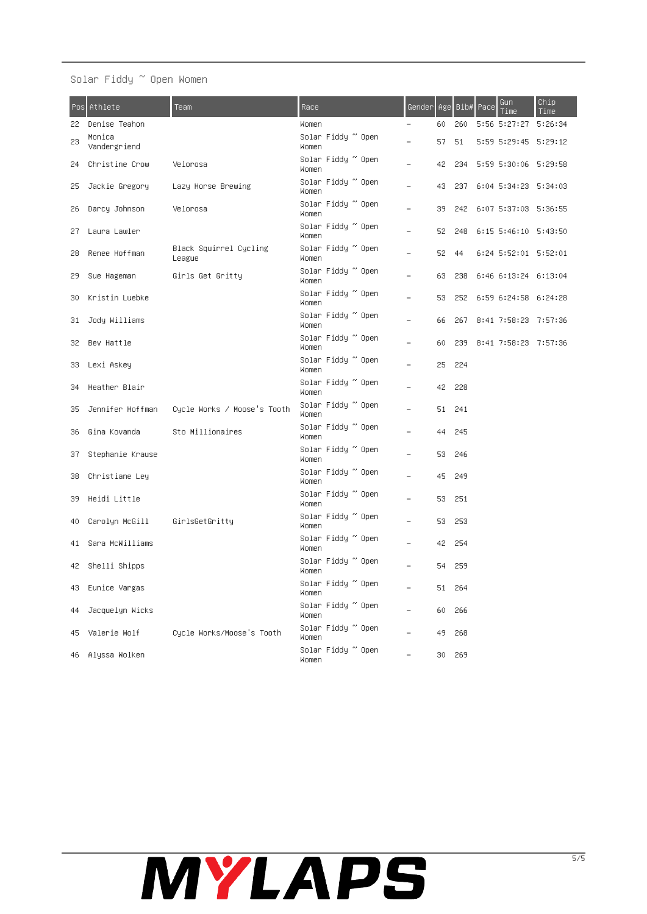# Solar Fiddy ~ Open Women

| Pos. | Athlete                | Team                             | Race                                | Gender Age Bib# Pace     |     |        | Gun<br>Time              | Chip<br>Time |
|------|------------------------|----------------------------------|-------------------------------------|--------------------------|-----|--------|--------------------------|--------------|
| 22.  | Denise Teahon          |                                  | Women                               | -                        | 60  | 260    | 5:56 5:27:27 5:26:34     |              |
| 23   | Monica<br>Vandergriend |                                  | Solar Fiddy ~ Open<br>Women         |                          | 57  | 51     | 5:59 5:29:45 5:29:12     |              |
| 24   | Christine Crow         | Velorosa                         | Solar Fiddy ~ Open<br>Women         | $\overline{\phantom{0}}$ | 42  | 234    | 5:59 5:30:06 5:29:58     |              |
| 25   | Jackie Gregory         | Lazy Horse Brewing               | Solar Fiddy ~ Open<br>Women         | $\overline{\phantom{0}}$ | 43  | 237    | 6:04 5:34:23 5:34:03     |              |
| 26   | Darcy Johnson          | Velorosa                         | Solar Fiddy ~ Open<br>Women         | $\overline{\phantom{0}}$ | 39  | 242    | 6:07 5:37:03 5:36:55     |              |
| 27   | Laura Lawler           |                                  | Solar Fiddy ~ Open<br>Women         |                          | 52  | 248    | 6:15 5:46:10 5:43:50     |              |
| 28   | Renee Hoffman          | Black Squirrel Cycling<br>League | Solar Fiddy ~ Open<br>Women         |                          | 52  | 44     | 6:24 5:52:01 5:52:01     |              |
| 29   | Sue Hageman            | Girls Get Gritty                 | Solar Fiddy ~ Open<br>Women         |                          | 63  | 238    | 6:46 6:13:24 6:13:04     |              |
| 30   | Kristin Luebke         |                                  | Solar Fiddy ~ Open<br>Women         |                          | 53  |        | 252 6:59 6:24:58 6:24:28 |              |
| 31   | Jody Williams          |                                  | Solar Fiddy ~ Open<br>Women         | L.                       | 66  |        | 267 8:41 7:58:23 7:57:36 |              |
| 32.  | Bev Hattle             |                                  | Solar Fiddy ~ Open<br>Women         |                          | 60  |        | 239 8:41 7:58:23 7:57:36 |              |
| 33.  | Lexi Askey             |                                  | Solar Fiddy ~ Open<br>Women         | $\overline{\phantom{0}}$ | 25  | 224    |                          |              |
| 34.  | Heather Blair          |                                  | Solar Fiddy ~ Open<br>Women         |                          | 42  | 228    |                          |              |
| 35   | Jennifer Hoffman       | Cycle Works / Moose's Tooth      | Solar Fiddy ~ Open<br>Women         |                          |     | 51 241 |                          |              |
| 36   | Gina Kovanda           | Sto Millionaires                 | Solar Fiddy ~ Open<br>Women         |                          | 44  | 245    |                          |              |
| 37.  | Stephanie Krause       |                                  | Solar Fiddy ~ Open<br>Women         |                          | 53. | 246    |                          |              |
| 38.  | Christiane Ley         |                                  | Solar Fiddy ~ Open<br>Women         |                          | 45. | 249    |                          |              |
| 39   | Heidi Little           |                                  | Solar Fiddy ~ Open<br>Women         | $\overline{\phantom{0}}$ | 53  | 251    |                          |              |
| 40   | Carolyn McGill         | GirlsGetGritty                   | Solar Fiddy ~ Open<br>Women         | -                        | 53  | 253    |                          |              |
| 41   | Sara McWilliams        |                                  | Solar Fiddy ~ Open<br>Women         |                          | 42  | 254    |                          |              |
|      | 42 Shelli Shipps       |                                  | Solar Fiddy ~ Open<br>Women         |                          |     | 54 259 |                          |              |
| 43.  | Eunice Vargas          |                                  | Solar Fiddy ~ Open<br>Women         |                          |     | 51 264 |                          |              |
| 44   | Jacquelyn Wicks        |                                  | Solar Fiddy ~ Open<br>Women         |                          | 60  | 266    |                          |              |
| 45.  | Valerie Wolf           | Cycle Works/Moose's Tooth        | Solar Fiddy $^{\sim}$ Open<br>Women |                          | 49  | 268    |                          |              |
| 46.  | Alyssa Wolken          |                                  | Solar Fiddy ~ Open<br>Women         |                          | 30. | 269    |                          |              |

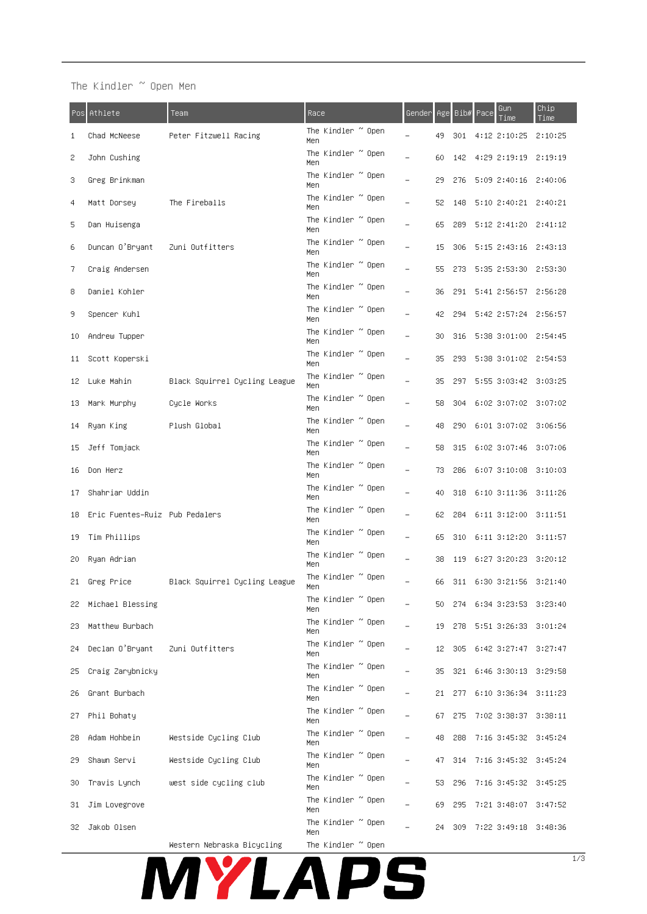## The Kindler  $\degree$  Open Men

| Pos | Athlete                        | Team                          | Race                              | Gender                   |     | Age Bib# | Gun<br>Pace<br>Time      | Chip.<br>Time |
|-----|--------------------------------|-------------------------------|-----------------------------------|--------------------------|-----|----------|--------------------------|---------------|
| 1   | Chad McNeese                   | Peter Fitzwell Racing         | The Kindler $\degree$ Open<br>Men |                          | 49  | 301      | 4:12 2:10:25             | 2:10:25       |
| 2   | John Cushing                   |                               | The Kindler $\degree$ Open<br>Men |                          | 60  | 142      | 4:29 2:19:19             | 2:19:19       |
| 3   | Greg Brinkman                  |                               | The Kindler $\degree$ Open<br>Men | ÷                        | 29  | 276      | 5:09 2:40:16             | 2:40:06       |
| 4   | Matt Dorsey                    | The Fireballs                 | The Kindler $\degree$ Open<br>Men | -                        | 52  | 148      | 5:10 2:40:21 2:40:21     |               |
| 5   | Dan Huisenga                   |                               | The Kindler $\degree$ Open<br>Men |                          | 65  | 289      | 5:12 2:41:20 2:41:12     |               |
| 6   | Duncan O'Bryant                | Zuni Outfitters               | The Kindler $\degree$ Open<br>Men |                          | 15  | 306      | $5:15$ $2:43:16$         | 2:43:13       |
| 7.  | Craig Andersen                 |                               | The Kindler $\degree$ Open<br>Men | ÷                        | 55  | 273      | 5:35 2:53:30             | 2:53:30       |
| 8   | Daniel Kohler                  |                               | The Kindler $\degree$ Open<br>Men | $\overline{\phantom{0}}$ | 36  | 291      | 5:41 2:56:57 2:56:28     |               |
| 9.  | Spencer Kuhl                   |                               | The Kindler ~ Open<br>Men         |                          | 42  | 294      | 5:42 2:57:24             | 2:56:57       |
| 10  | Andrew Tupper                  |                               | The Kindler $\degree$ Open<br>Men | ÷                        | 30  | 316      | 5:38 3:01:00             | 2:54:45       |
| 11  | Scott Koperski                 |                               | The Kindler $\degree$ Open<br>Men | -                        | 35  | 293      | 5:38 3:01:02             | 2:54:53       |
| 12  | Luke Mahin                     | Black Squirrel Cycling League | The Kindler $\degree$ Open<br>Men |                          | 35  | 297      | 5:55 3:03:42 3:03:25     |               |
| 13  | Mark Murphy                    | Cycle Works                   | The Kindler $\degree$ Open<br>Men |                          | 58  | 304      | 6:02 3:07:02 3:07:02     |               |
| 14  | Ryan King                      | Plush Global                  | The Kindler $\degree$ Open<br>Men |                          | 48  | 290      | $6:01$ $3:07:02$         | 3:06:56       |
| 15  | Jeff Tomjack                   |                               | The Kindler $\degree$ Open<br>Men | $\overline{\phantom{0}}$ | 58  | 315      | 6:02 3:07:46 3:07:06     |               |
| 16  | Don Herz                       |                               | The Kindler ~ Open<br>Men         |                          | 73  | 286      | 6:07 3:10:08             | 3:10:03       |
| 17  | Shahriar Uddin                 |                               | The Kindler $\degree$ Open<br>Men | ÷                        | 40  | 318      | $6:10$ $3:11:36$         | 3:11:26       |
| 18  | Eric Fuentes-Ruiz Pub Pedalers |                               | The Kindler $\degree$ Open<br>Men | ۳                        | 62  | 284      | $6:11$ $3:12:00$         | 3:11:51       |
| 19  | Tim Phillips                   |                               | The Kindler $\degree$ Open<br>Men |                          | 65  | 310      | 6:11 3:12:20 3:11:57     |               |
| 20. | Ryan Adrian                    |                               | The Kindler $\degree$ Open<br>Men |                          | 38  | 119      | 6:27 3:20:23             | 3:20:12       |
| 21  | Greg Price                     | Black Squirrel Cycling League | The Kindler $\degree$ Open<br>Men |                          | 66  | 311      | 6:30 3:21:56             | 3:21:40       |
| 22. | Michael Blessing               |                               | The Kindler $\degree$ Open<br>Men | $\overline{\phantom{0}}$ | 50  | 274      | 6:34 3:23:53 3:23:40     |               |
| 23  | Matthew Burbach                |                               | The Kindler ~ Open<br>Men         |                          | 19  |          | 278 5:51 3:26:33 3:01:24 |               |
| 24  | Declan O'Bryant                | Zuni Outfitters               | The Kindler ~ Open<br>Men         |                          | 12  |          | 305 6:42 3:27:47 3:27:47 |               |
| 25  | Craig Zarybnicky               |                               | The Kindler $\degree$ Open<br>Men |                          | 35  |          | 321 6:46 3:30:13 3:29:58 |               |
| 26  | Grant Burbach                  |                               | The Kindler $\degree$ Open<br>Men |                          | 21. |          | 277 6:10 3:36:34 3:11:23 |               |
| 27  | Phil Bohaty                    |                               | The Kindler $\degree$ Open<br>Men |                          | 67. | 275      | 7:02 3:38:37 3:38:11     |               |
| 28  | Adam Hohbein                   | Westside Cycling Club         | The Kindler ~ Open<br>Men         |                          | 48  | 288      | 7:16 3:45:32 3:45:24     |               |
| 29  | Shawn Servi                    | <b>Westside Cycling Club</b>  | The Kindler $\degree$ Open<br>Men | ÷.                       | 47  | 314      | 7:16 3:45:32 3:45:24     |               |
| 30  | Travis Lynch                   | west side cycling club        | The Kindler $\degree$ Open<br>Men |                          | 53  | 296      | 7:16 3:45:32 3:45:25     |               |
| 31  | Jim Lovegrove                  |                               | The Kindler $\degree$ Open<br>Men |                          | 69  | 295      | 7:21 3:48:07 3:47:52     |               |
| 32. | Jakob Olsen                    |                               | The Kindler $\degree$ Open<br>Men |                          | 24  | 309      | 7:22 3:49:18 3:48:36     |               |
|     |                                |                               |                                   |                          |     |          |                          |               |

 ${\tt Western}$  Nebraska Bicycling  $\quad$  The Kindler  $\lq$  Open MYLAPS

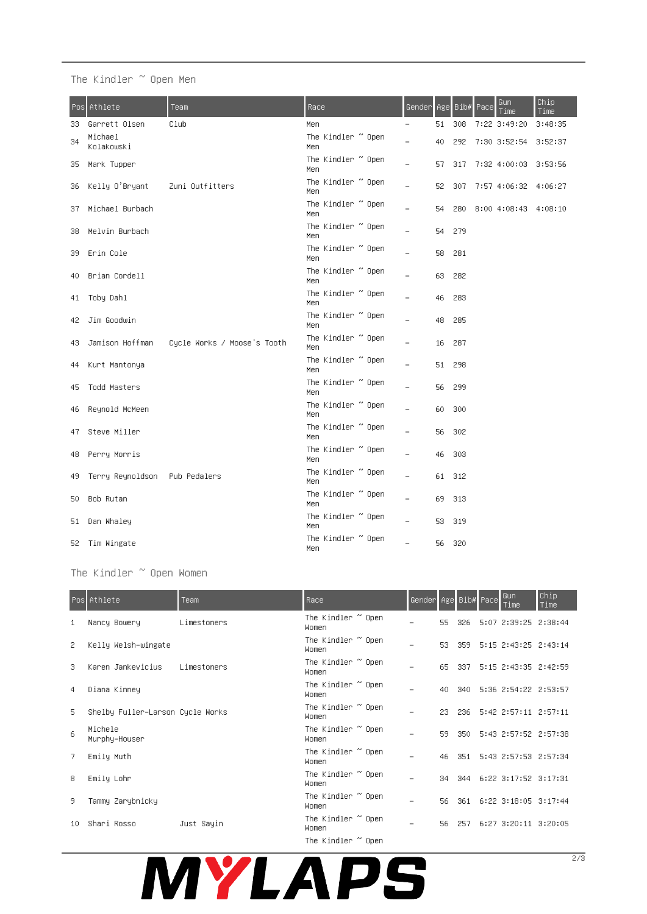# The Kindler ~ Open Men

| Posi | Athlete                       | Team                        | Race                               | Gender                   |    | Age Bib# | Pace | Gun<br>Time          | Chip<br>Time |
|------|-------------------------------|-----------------------------|------------------------------------|--------------------------|----|----------|------|----------------------|--------------|
| 33   | Garrett Olsen                 | Club                        | Men.                               |                          | 51 | 308      |      | 7:22 3:49:20         | 3:48:35      |
| 34   | Michael<br>Kolakowski         |                             | The Kindler ~ Open<br>Men          | ÷                        | 40 | 292      |      | 7:30 3:52:54         | 3:52:37      |
| 35   | Mark Tupper                   |                             | The Kindler $\degree$ Open<br>Men  | -                        | 57 | 317      |      | 7:32 4:00:03 3:53:56 |              |
| 36   | Kelly O'Bryant                | Zuni Outfitters             | The Kindler ~ Open<br>Men          | $\overline{\phantom{0}}$ | 52 | 307      |      | 7:57 4:06:32 4:06:27 |              |
| 37   | Michael Burbach               |                             | The Kindler ~ Open<br>Men          | ۳                        | 54 | 280      |      | 8:00 4:08:43 4:08:10 |              |
| 38   | Melvin Burbach                |                             | The Kindler $\degree$ Open<br>Men  |                          | 54 | 279      |      |                      |              |
| 39   | Erin Cole                     |                             | The Kindler $\degree$ Open<br>Men. |                          | 58 | 281      |      |                      |              |
| 40   | Brian Cordell                 |                             | The Kindler ~ Open<br>Men          | ۳                        | 63 | 282      |      |                      |              |
| 41   | Toby Dahl                     |                             | The Kindler ~ Open<br>Men          |                          | 46 | 283      |      |                      |              |
| 42   | Jim Goodwin                   |                             | The Kindler ~ Open<br>Men          |                          | 48 | 285      |      |                      |              |
| 43   | Jamison Hoffman               | Cycle Works / Moose's Tooth | The Kindler ~ Open<br>Men          | ۳                        | 16 | 287      |      |                      |              |
| 44.  | Kurt Mantonya                 |                             | The Kindler $\degree$ Open<br>Men. | ۳                        | 51 | 298      |      |                      |              |
| 45   | Todd Masters                  |                             | The Kindler ~ Open<br>Men          | ۳                        | 56 | 299      |      |                      |              |
| 46   | Reynold McMeen                |                             | The Kindler ~ Open<br>Men          | $\overline{\phantom{0}}$ | 60 | 300      |      |                      |              |
| 47   | Steve Miller                  |                             | The Kindler ~ Open<br>Men          |                          | 56 | 302      |      |                      |              |
| 48   | Perry Morris                  |                             | The Kindler $\degree$ Open<br>Men  | -                        | 46 | 303      |      |                      |              |
| 49   | Terry Reynoldson Pub Pedalers |                             | The Kindler $\degree$ Open<br>Men. | ۳                        | 61 | - 312    |      |                      |              |
| 50   | Bob Rutan                     |                             | The Kindler ~ Open<br>Men.         | ۳                        | 69 | 313      |      |                      |              |
| 51   | Dan Whaley                    |                             | The Kindler $\degree$ Open<br>Men  | -                        | 53 | 319      |      |                      |              |
|      | 52 Tim Wingate                |                             | The Kindler ~ Open<br>Men          | ÷.                       | 56 | - 320    |      |                      |              |

The Kindler ~ Open Women

|    | Pos Athlete                      | Team        | Race,                               | Gender Age Bib# Pace     |     |     | Gun<br>Time                 | Chip<br>Time |
|----|----------------------------------|-------------|-------------------------------------|--------------------------|-----|-----|-----------------------------|--------------|
| 1  | Nancy Bowery                     | Limestoners | The Kindler ~ Open<br>Women         |                          | 55  | 326 | 5:07 2:39:25 2:38:44        |              |
| 2  | Kelly Welsh-wingate              |             | The Kindler ~ Open<br>Women         |                          | 53. |     | 359 5:15 2:43:25 2:43:14    |              |
| 3  | Karen Jankevicius                | Limestoners | The Kindler $\degree$ Open<br>Women | -                        | 65. |     | 337 5:15 2:43:35 2:42:59    |              |
| 4  | Diana Kinney                     |             | The Kindler $\degree$ Open<br>Women | $\overline{\phantom{0}}$ | 40  |     | 340 5:36 2:54:22 2:53:57    |              |
| 5  | Shelby Fuller–Larson Cycle Works |             | The Kindler $\degree$ Open<br>Women |                          | 23. |     | 236 5:42 2:57:11 2:57:11    |              |
| 6  | Michele<br>Murphy-Houser         |             | The Kindler $\degree$ Open<br>Women | -                        | 59. |     | 350 5:43 2:57:52 2:57:38    |              |
| 7  | Emily Muth                       |             | The Kindler $\degree$ Open<br>Women |                          |     |     | 46 351 5:43 2:57:53 2:57:34 |              |
| 8  | Emily Lohr                       |             | The Kindler $\degree$ Open<br>Women |                          |     |     | 34 344 6:22 3:17:52 3:17:31 |              |
| 9  | Tammy Zarybnicky                 |             | The Kindler $\degree$ Open<br>Women |                          | 56. |     | 361 6:22 3:18:05 3:17:44    |              |
| 10 | Shari Rosso                      | Just Sayin  | The Kindler $\degree$ Open<br>Women |                          | 56. |     | 257 6:27 3:20:11 3:20:05    |              |
|    |                                  |             | The Kindler $\degree$ Open          |                          |     |     |                             |              |